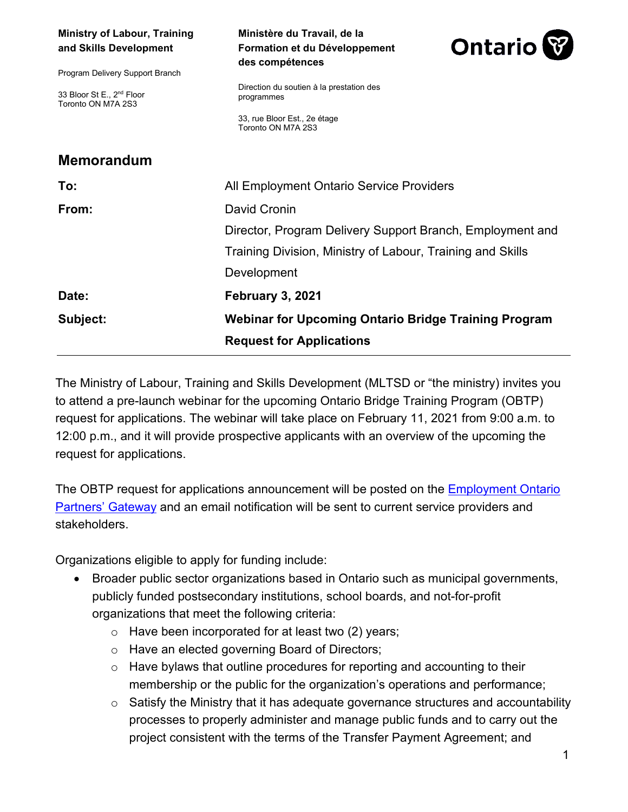| <b>Ministry of Labour, Training</b><br>and Skills Development<br>Program Delivery Support Branch | Ministère du Travail, de la<br>Formation et du Développement<br>des compétences | <b>Ontario</b> |
|--------------------------------------------------------------------------------------------------|---------------------------------------------------------------------------------|----------------|
| 33 Bloor St E., 2 <sup>nd</sup> Floor<br>Toronto ON M7A 2S3                                      | Direction du soutien à la prestation des<br>programmes                          |                |
|                                                                                                  | 33, rue Bloor Est., 2e étage<br>Toronto ON M7A 2S3                              |                |
| <b>Memorandum</b>                                                                                |                                                                                 |                |
| To:                                                                                              | All Employment Ontario Service Providers                                        |                |
| From:                                                                                            | David Cronin                                                                    |                |
|                                                                                                  | Director, Program Delivery Support Branch, Employment and                       |                |
|                                                                                                  | Training Division, Ministry of Labour, Training and Skills                      |                |
|                                                                                                  | Development                                                                     |                |
| Date:                                                                                            | February 3, 2021                                                                |                |
| Subject:                                                                                         | <b>Webinar for Upcoming Ontario Bridge Training Program</b>                     |                |
|                                                                                                  | <b>Request for Applications</b>                                                 |                |

The Ministry of Labour, Training and Skills Development (MLTSD or "the ministry) invites you to attend a pre-launch webinar for the upcoming Ontario Bridge Training Program (OBTP) request for applications. The webinar will take place on February 11, 2021 from 9:00 a.m. to 12:00 p.m., and it will provide prospective applicants with an overview of the upcoming the request for applications.

The OBTP request for applications announcement will be posted on the **Employment Ontario** [Partners' Gateway](http://www.tcu.gov.on.ca/eng/eopg/newpostings/index.html) and an email notification will be sent to current service providers and stakeholders.

Organizations eligible to apply for funding include:

- Broader public sector organizations based in Ontario such as municipal governments, publicly funded postsecondary institutions, school boards, and not-for-profit organizations that meet the following criteria:
	- $\circ$  Have been incorporated for at least two (2) years;
	- o Have an elected governing Board of Directors;
	- $\circ$  Have bylaws that outline procedures for reporting and accounting to their membership or the public for the organization's operations and performance;
	- o Satisfy the Ministry that it has adequate governance structures and accountability processes to properly administer and manage public funds and to carry out the project consistent with the terms of the Transfer Payment Agreement; and